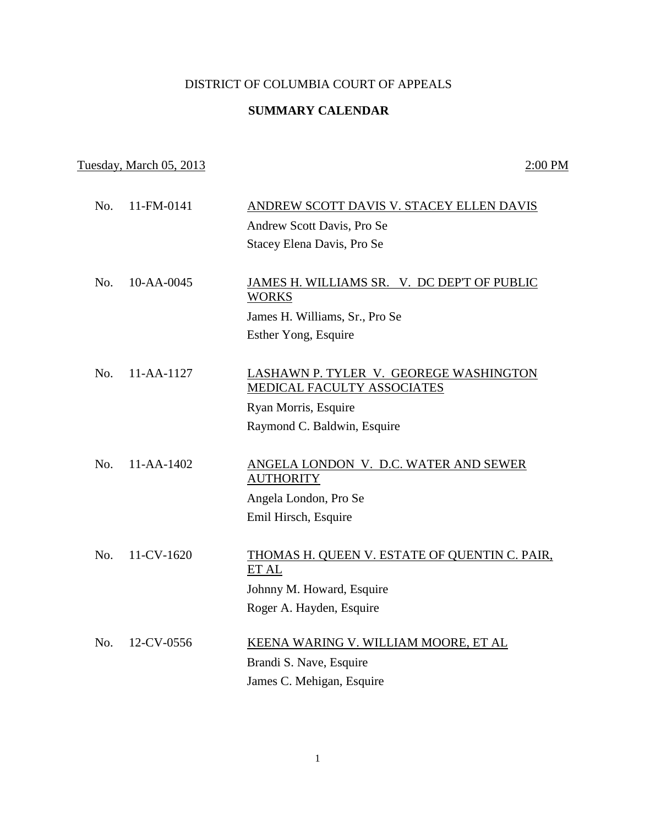## DISTRICT OF COLUMBIA COURT OF APPEALS

## **SUMMARY CALENDAR**

## Tuesday, March 05, 2013 2:00 PM

| No. | 11-FM-0141 | ANDREW SCOTT DAVIS V. STACEY ELLEN DAVIS                             |
|-----|------------|----------------------------------------------------------------------|
|     |            | Andrew Scott Davis, Pro Se                                           |
|     |            | Stacey Elena Davis, Pro Se                                           |
|     |            |                                                                      |
| No. | 10-AA-0045 | JAMES H. WILLIAMS SR. V. DC DEP'T OF PUBLIC<br><b>WORKS</b>          |
|     |            | James H. Williams, Sr., Pro Se                                       |
|     |            | Esther Yong, Esquire                                                 |
|     |            |                                                                      |
| No. | 11-AA-1127 | LASHAWN P. TYLER V. GEOREGE WASHINGTON<br>MEDICAL FACULTY ASSOCIATES |
|     |            | Ryan Morris, Esquire                                                 |
|     |            | Raymond C. Baldwin, Esquire                                          |
|     |            |                                                                      |
| No. | 11-AA-1402 | ANGELA LONDON V. D.C. WATER AND SEWER<br><b>AUTHORITY</b>            |
|     |            | Angela London, Pro Se                                                |
|     |            | Emil Hirsch, Esquire                                                 |
|     |            |                                                                      |
| No. | 11-CV-1620 | THOMAS H. QUEEN V. ESTATE OF QUENTIN C. PAIR,<br>ET AL               |
|     |            | Johnny M. Howard, Esquire                                            |
|     |            | Roger A. Hayden, Esquire                                             |
|     |            |                                                                      |
| No. | 12-CV-0556 | KEENA WARING V. WILLIAM MOORE, ET AL                                 |
|     |            | Brandi S. Nave, Esquire                                              |
|     |            | James C. Mehigan, Esquire                                            |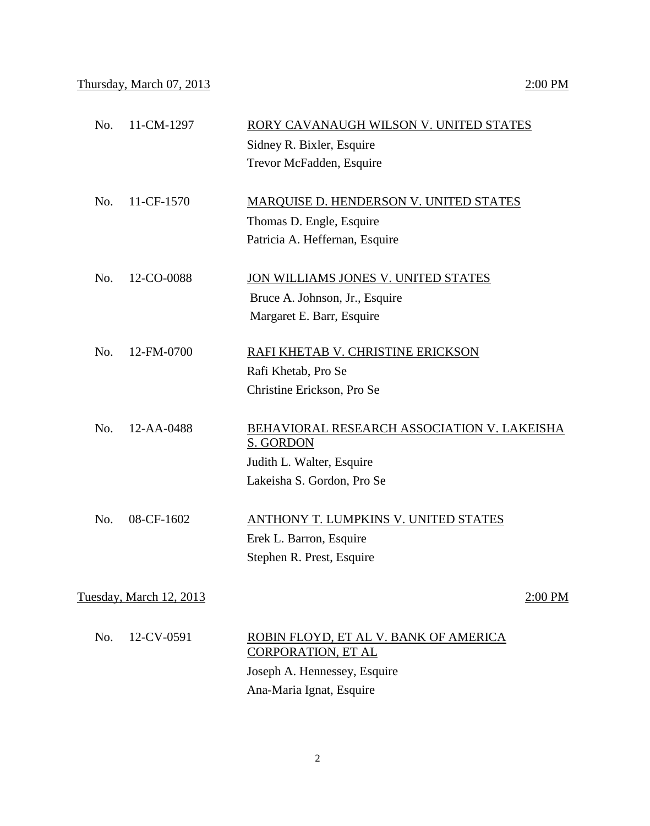| No.                     | 11-CM-1297 | RORY CAVANAUGH WILSON V. UNITED STATES      |  |  |
|-------------------------|------------|---------------------------------------------|--|--|
|                         |            | Sidney R. Bixler, Esquire                   |  |  |
|                         |            | Trevor McFadden, Esquire                    |  |  |
|                         |            |                                             |  |  |
| No.                     | 11-CF-1570 | MARQUISE D. HENDERSON V. UNITED STATES      |  |  |
|                         |            | Thomas D. Engle, Esquire                    |  |  |
|                         |            | Patricia A. Heffernan, Esquire              |  |  |
|                         |            |                                             |  |  |
| No.                     | 12-CO-0088 | JON WILLIAMS JONES V. UNITED STATES         |  |  |
|                         |            | Bruce A. Johnson, Jr., Esquire              |  |  |
|                         |            | Margaret E. Barr, Esquire                   |  |  |
|                         |            |                                             |  |  |
| No.                     | 12-FM-0700 | RAFI KHETAB V. CHRISTINE ERICKSON           |  |  |
|                         |            | Rafi Khetab, Pro Se                         |  |  |
|                         |            | Christine Erickson, Pro Se                  |  |  |
|                         |            |                                             |  |  |
| No.                     | 12-AA-0488 | BEHAVIORAL RESEARCH ASSOCIATION V. LAKEISHA |  |  |
|                         |            | S. GORDON                                   |  |  |
|                         |            | Judith L. Walter, Esquire                   |  |  |
|                         |            | Lakeisha S. Gordon, Pro Se                  |  |  |
|                         |            |                                             |  |  |
| No.                     | 08-CF-1602 | ANTHONY T. LUMPKINS V. UNITED STATES        |  |  |
|                         |            | Erek L. Barron, Esquire                     |  |  |
|                         |            | Stephen R. Prest, Esquire                   |  |  |
| Tuesday, March 12, 2013 |            |                                             |  |  |
|                         |            | 2:00 PM                                     |  |  |

| $No. 12-CV-0591$ | ROBIN FLOYD, ET AL V. BANK OF AMERICA<br>CORPORATION, ET AL |
|------------------|-------------------------------------------------------------|
|                  | Joseph A. Hennessey, Esquire                                |
|                  | Ana-Maria Ignat, Esquire                                    |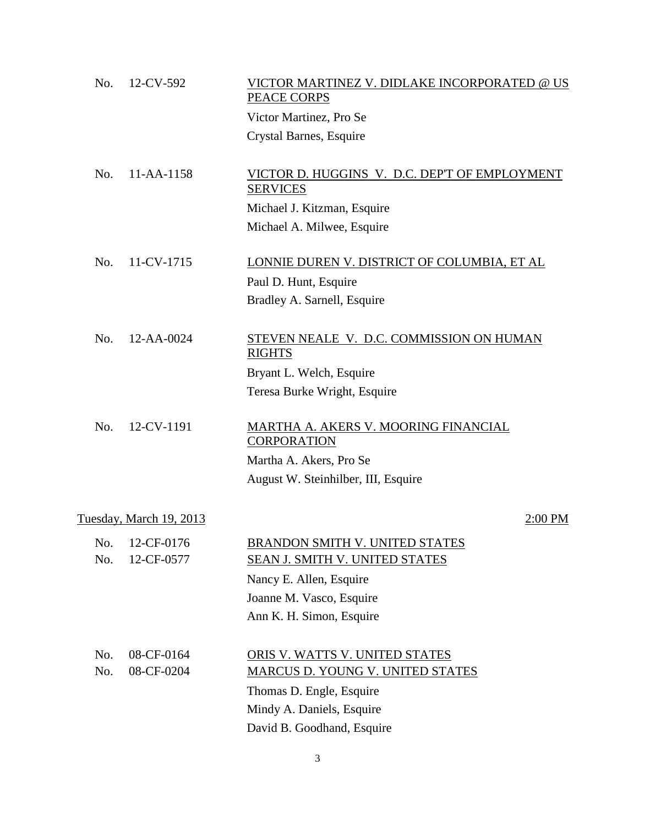| No. | 12-CV-592                    | VICTOR MARTINEZ V. DIDLAKE INCORPORATED @ US<br>PEACE CORPS      |
|-----|------------------------------|------------------------------------------------------------------|
|     |                              | Victor Martinez, Pro Se                                          |
|     |                              | Crystal Barnes, Esquire                                          |
| No. | 11-AA-1158                   | VICTOR D. HUGGINS V. D.C. DEP'T OF EMPLOYMENT<br><b>SERVICES</b> |
|     |                              | Michael J. Kitzman, Esquire                                      |
|     |                              | Michael A. Milwee, Esquire                                       |
| No. | 11-CV-1715                   | LONNIE DUREN V. DISTRICT OF COLUMBIA, ET AL                      |
|     |                              | Paul D. Hunt, Esquire                                            |
|     |                              | Bradley A. Sarnell, Esquire                                      |
| No. | 12-AA-0024                   | STEVEN NEALE V. D.C. COMMISSION ON HUMAN<br><b>RIGHTS</b>        |
|     |                              | Bryant L. Welch, Esquire                                         |
|     |                              | Teresa Burke Wright, Esquire                                     |
| No. | 12-CV-1191                   | MARTHA A. AKERS V. MOORING FINANCIAL<br><b>CORPORATION</b>       |
|     |                              | Martha A. Akers, Pro Se                                          |
|     |                              | August W. Steinhilber, III, Esquire                              |
|     | Tuesday, March 19, 2013      | 2:00 PM                                                          |
| No. | No. 12-CF-0176<br>12-CF-0577 | BRANDON SMITH V. UNITED STATES<br>SEAN J. SMITH V. UNITED STATES |
|     |                              | Nancy E. Allen, Esquire                                          |
|     |                              | Joanne M. Vasco, Esquire                                         |
|     |                              | Ann K. H. Simon, Esquire                                         |
| No. | 08-CF-0164                   | ORIS V. WATTS V. UNITED STATES                                   |
| No. | 08-CF-0204                   | MARCUS D. YOUNG V. UNITED STATES                                 |
|     |                              | Thomas D. Engle, Esquire                                         |
|     |                              | Mindy A. Daniels, Esquire                                        |
|     |                              | David B. Goodhand, Esquire                                       |

3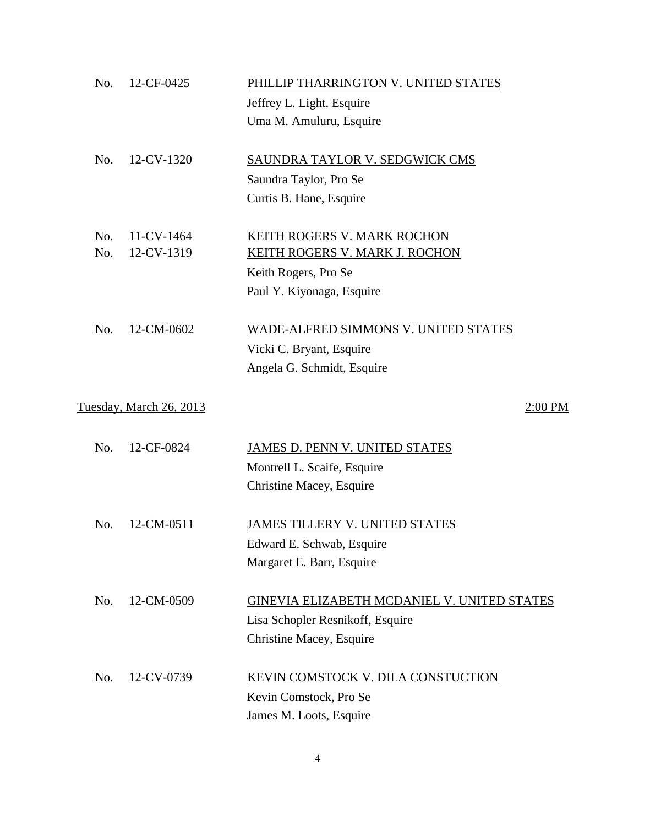| No. | 12-CF-0425              | PHILLIP THARRINGTON V. UNITED STATES        |
|-----|-------------------------|---------------------------------------------|
|     |                         | Jeffrey L. Light, Esquire                   |
|     |                         | Uma M. Amuluru, Esquire                     |
| No. | 12-CV-1320              | SAUNDRA TAYLOR V. SEDGWICK CMS              |
|     |                         | Saundra Taylor, Pro Se                      |
|     |                         | Curtis B. Hane, Esquire                     |
| No. | 11-CV-1464              | KEITH ROGERS V. MARK ROCHON                 |
| No. | 12-CV-1319              | <b>KEITH ROGERS V. MARK J. ROCHON</b>       |
|     |                         | Keith Rogers, Pro Se                        |
|     |                         | Paul Y. Kiyonaga, Esquire                   |
| No. | 12-CM-0602              | <b>WADE-ALFRED SIMMONS V. UNITED STATES</b> |
|     |                         | Vicki C. Bryant, Esquire                    |
|     |                         | Angela G. Schmidt, Esquire                  |
|     | Tuesday, March 26, 2013 | 2:00 PM                                     |
| No. | 12-CF-0824              | JAMES D. PENN V. UNITED STATES              |
|     |                         | Montrell L. Scaife, Esquire                 |
|     |                         | Christine Macey, Esquire                    |
| No. | 12-CM-0511              | <b>JAMES TILLERY V. UNITED STATES</b>       |
|     |                         | Edward E. Schwab, Esquire                   |
|     |                         | Margaret E. Barr, Esquire                   |
| No. | 12-CM-0509              | GINEVIA ELIZABETH MCDANIEL V. UNITED STATES |
|     |                         | Lisa Schopler Resnikoff, Esquire            |
|     |                         | Christine Macey, Esquire                    |
| No. | 12-CV-0739              | KEVIN COMSTOCK V. DILA CONSTUCTION          |
|     |                         | Kevin Comstock, Pro Se                      |
|     |                         | James M. Loots, Esquire                     |